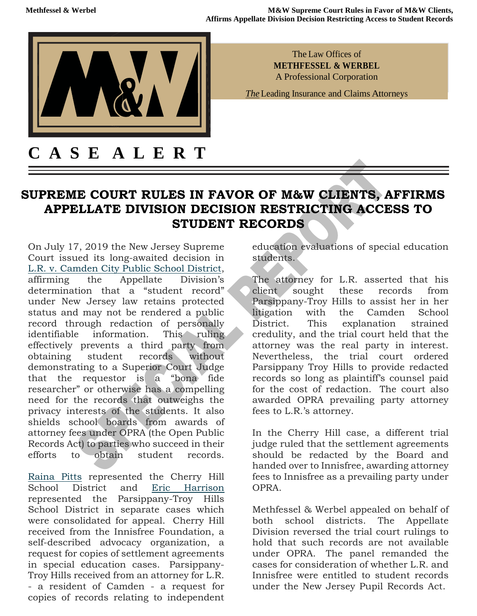

## **SUPREME COURT RULES IN FAVOR OF M&W CLIENTS, AFFIRMS APPELLATE DIVISION DECISION RESTRICTING ACCESS TO STUDENT RECORDS**

On July 17, 2019 the New Jersey Supreme Court issued its long-awaited decision in [L.R. v. Camden City Public School District,](https://urldefense.proofpoint.com/v2/url?u=https-3A__methwerb.us6.list-2Dmanage.com_track_click-3Fu-3D84a2c784f6bde978aee3f5720-26id-3De1d5e83d6f-26e-3D7d389a1552&d=DwMFaQ&c=euGZstcaTDllvimEN8b7jXrwqOf-v5A_CdpgnVfiiMM&r=xvIUgkpSXZLs0pBZ-uo1hTVaw7XTRGOu2Mx2ILReXWc&m=jYLNWIkjPaEfJevdx8nUBTxzN4KLNTBlOJH_-1PirdY&s=lUi4Ncp5NJrQUxn_y_uNGeQ0JJEtC1Ch7tJ_2fktpgM&e=) affirming the Appellate Division's determination that a "student record" under New Jersey law retains protected status and may not be rendered a public record through redaction of personally identifiable information. This ruling effectively prevents a third party from obtaining student records without demonstrating to a Superior Court Judge that the requestor is a "bona fide researcher" or otherwise has a compelling need for the records that outweighs the privacy interests of the students. It also shields school boards from awards of attorney fees under OPRA (the Open Public Records Act) to parties who succeed in their efforts to obtain student records.

[Raina Pitts](https://urldefense.proofpoint.com/v2/url?u=https-3A__methwerb.us6.list-2Dmanage.com_track_click-3Fu-3D84a2c784f6bde978aee3f5720-26id-3Dc3b5476e72-26e-3D7d389a1552&d=DwMFaQ&c=euGZstcaTDllvimEN8b7jXrwqOf-v5A_CdpgnVfiiMM&r=xvIUgkpSXZLs0pBZ-uo1hTVaw7XTRGOu2Mx2ILReXWc&m=jYLNWIkjPaEfJevdx8nUBTxzN4KLNTBlOJH_-1PirdY&s=LAWwlxpGzL48s7qrI58jhn05BTjhz-xb3UzslMUF1JU&e=) represented the Cherry Hill School District and [Eric Harrison](https://urldefense.proofpoint.com/v2/url?u=https-3A__methwerb.us6.list-2Dmanage.com_track_click-3Fu-3D84a2c784f6bde978aee3f5720-26id-3D4b4cd05c57-26e-3D7d389a1552&d=DwMFaQ&c=euGZstcaTDllvimEN8b7jXrwqOf-v5A_CdpgnVfiiMM&r=xvIUgkpSXZLs0pBZ-uo1hTVaw7XTRGOu2Mx2ILReXWc&m=jYLNWIkjPaEfJevdx8nUBTxzN4KLNTBlOJH_-1PirdY&s=FE2lKHqjXyCpLiFIo0mQDJFMHsLFgG9te5irrcgKBeg&e=) represented the Parsippany-Troy Hills School District in separate cases which were consolidated for appeal. Cherry Hill received from the Innisfree Foundation, a self-described advocacy organization, a request for copies of settlement agreements in special education cases. Parsippany-Troy Hills received from an attorney for L.R. - a resident of Camden - a request for copies of records relating to independent

education evaluations of special education students.

The attorney for L.R. asserted that his client sought these records from Parsippany-Troy Hills to assist her in her litigation with the Camden School District. This explanation strained credulity, and the trial court held that the attorney was the real party in interest. Nevertheless, the trial court ordered Parsippany Troy Hills to provide redacted records so long as plaintiff's counsel paid for the cost of redaction. The court also awarded OPRA prevailing party attorney fees to L.R.'s attorney.

In the Cherry Hill case, a different trial judge ruled that the settlement agreements should be redacted by the Board and handed over to Innisfree, awarding attorney fees to Innisfree as a prevailing party under OPRA.

Methfessel & Werbel appealed on behalf of both school districts. The Appellate Division reversed the trial court rulings to hold that such records are not available under OPRA. The panel remanded the cases for consideration of whether L.R. and Innisfree were entitled to student records under the New Jersey Pupil Records Act.